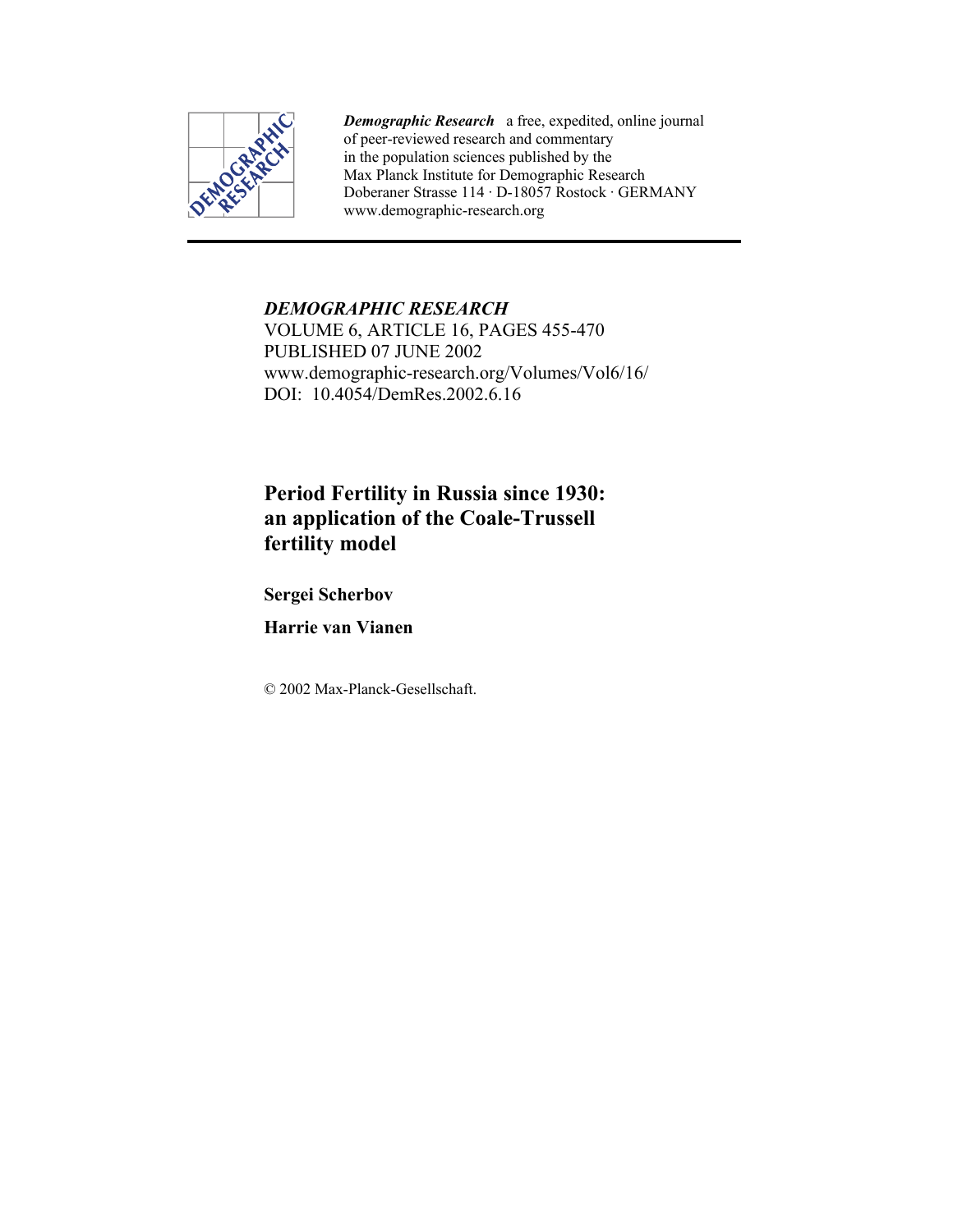

*Demographic Research* a free, expedited, online journal of peer-reviewed research and commentary in the population sciences published by the Max Planck Institute for Demographic Research Doberaner Strasse 114 · D-18057 Rostock · GERMANY www.demographic-research.org

## *DEMOGRAPHIC RESEARCH*  VOLUME 6, ARTICLE 16, PAGES 455-470 PUBLISHED 07 JUNE 2002 www.demographic-research.org/Volumes/Vol6/16/ DOI: 10.4054/DemRes. 2002. 6.16

# **Period Fertility in Russia since 1930: an application of the Coale-Trussell fertility model**

**Sergei Scherbov** 

**Harrie van Vianen** 

© 2002 Max-Planck-Gesellschaft.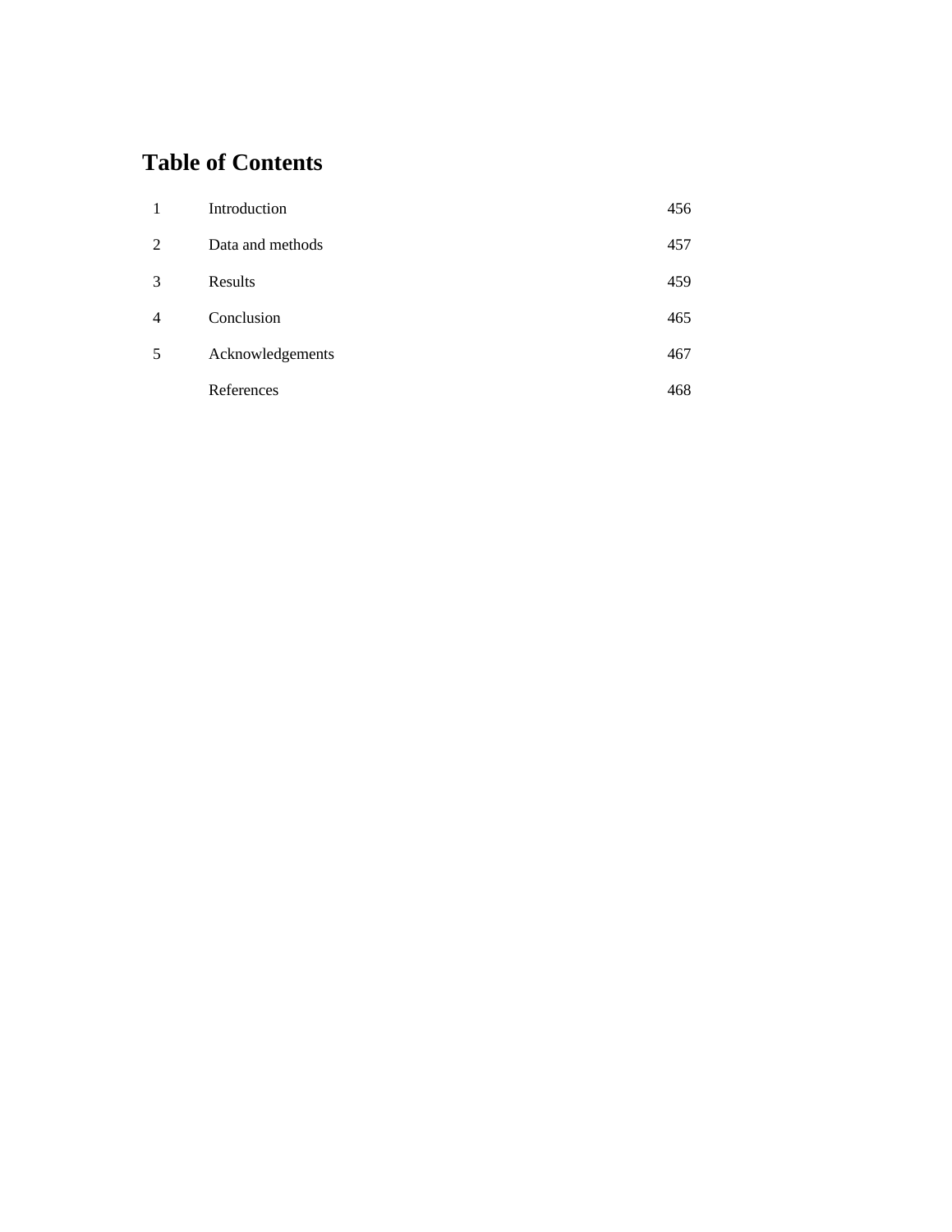## **Table of Contents**

| 1              | Introduction     | 456 |
|----------------|------------------|-----|
| 2              | Data and methods | 457 |
| 3              | Results          | 459 |
| $\overline{4}$ | Conclusion       | 465 |
| 5              | Acknowledgements | 467 |
|                | References       | 468 |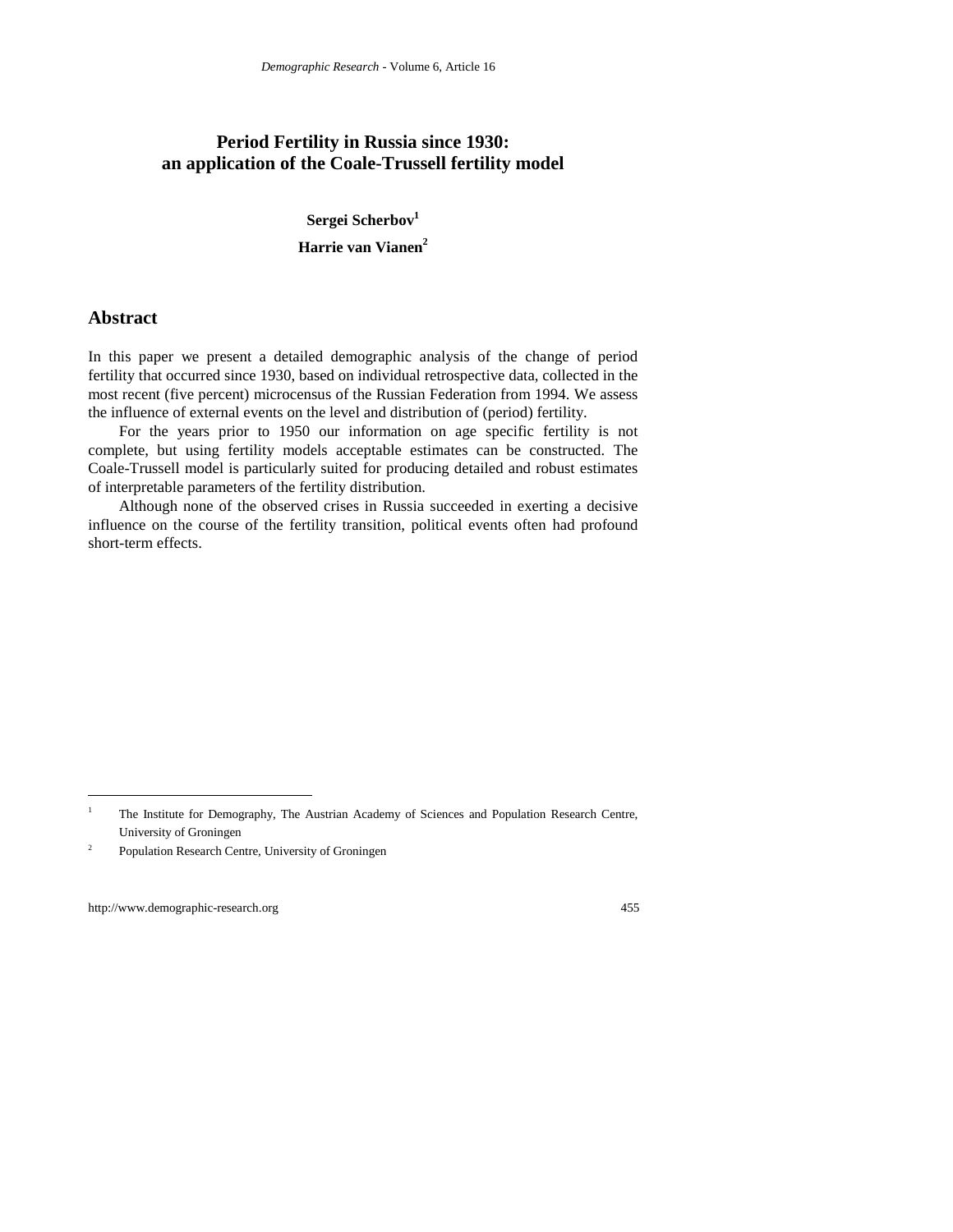## **Period Fertility in Russia since 1930: an application of the Coale-Trussell fertility model**

**Sergei Scherbov1 Harrie van Vianen2**

#### **Abstract**

In this paper we present a detailed demographic analysis of the change of period fertility that occurred since 1930, based on individual retrospective data, collected in the most recent (five percent) microcensus of the Russian Federation from 1994. We assess the influence of external events on the level and distribution of (period) fertility.

For the years prior to 1950 our information on age specific fertility is not complete, but using fertility models acceptable estimates can be constructed. The Coale-Trussell model is particularly suited for producing detailed and robust estimates of interpretable parameters of the fertility distribution.

Although none of the observed crises in Russia succeeded in exerting a decisive influence on the course of the fertility transition, political events often had profound short-term effects.

 $\overline{a}$ 

<sup>1</sup> The Institute for Demography, The Austrian Academy of Sciences and Population Research Centre, University of Groningen

<sup>&</sup>lt;sup>2</sup> Population Research Centre, University of Groningen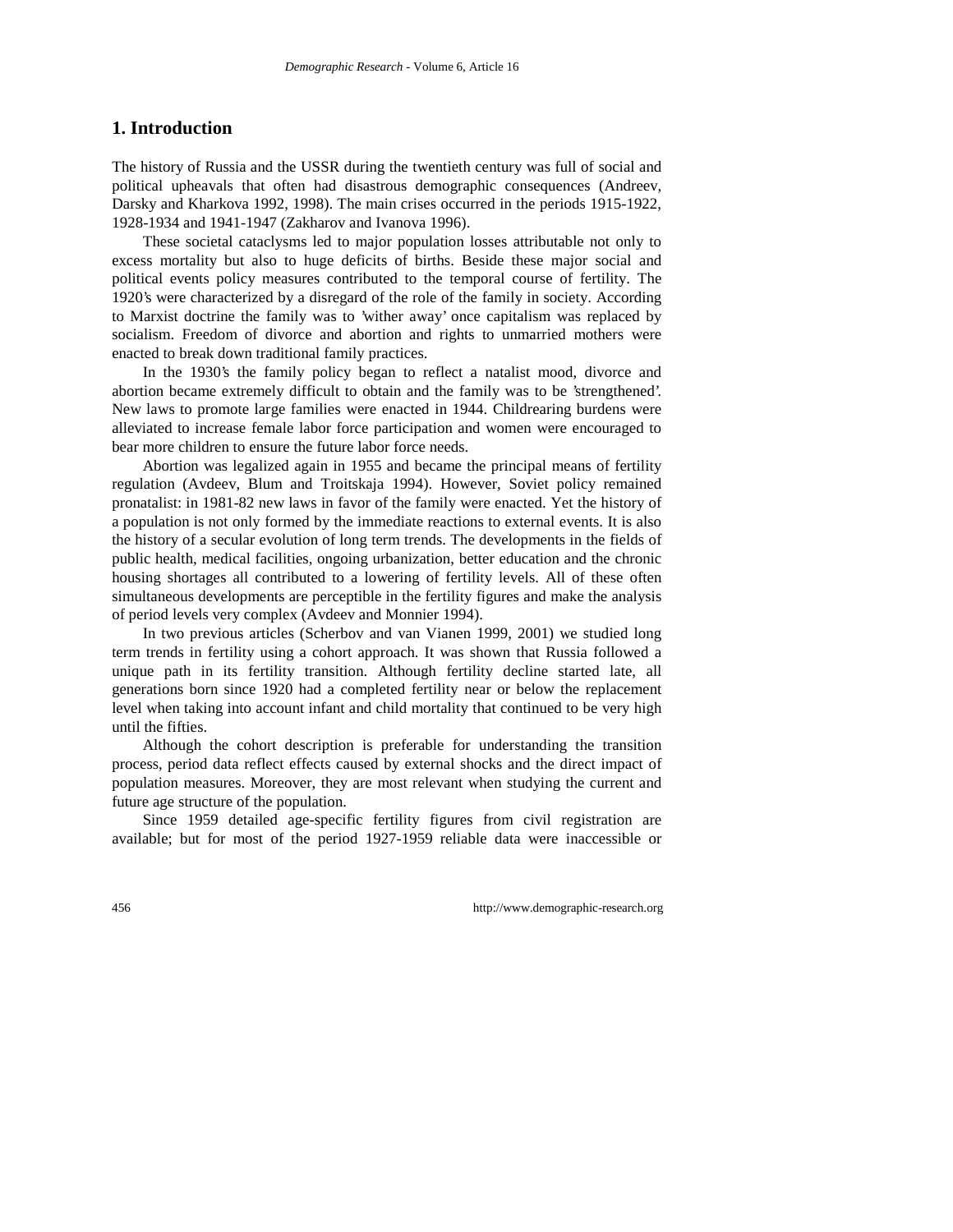### **1. Introduction**

The history of Russia and the USSR during the twentieth century was full of social and political upheavals that often had disastrous demographic consequences (Andreev, Darsky and Kharkova 1992, 1998). The main crises occurred in the periods 1915-1922, 1928-1934 and 1941-1947 (Zakharov and Ivanova 1996).

These societal cataclysms led to major population losses attributable not only to excess mortality but also to huge deficits of births. Beside these major social and political events policy measures contributed to the temporal course of fertility. The 1920's were characterized by a disregard of the role of the family in society. According to Marxist doctrine the family was to 'wither away' once capitalism was replaced by socialism. Freedom of divorce and abortion and rights to unmarried mothers were enacted to break down traditional family practices.

In the 1930's the family policy began to reflect a natalist mood, divorce and abortion became extremely difficult to obtain and the family was to be 'strengthened'. New laws to promote large families were enacted in 1944. Childrearing burdens were alleviated to increase female labor force participation and women were encouraged to bear more children to ensure the future labor force needs.

Abortion was legalized again in 1955 and became the principal means of fertility regulation (Avdeev, Blum and Troitskaja 1994). However, Soviet policy remained pronatalist: in 1981-82 new laws in favor of the family were enacted. Yet the history of a population is not only formed by the immediate reactions to external events. It is also the history of a secular evolution of long term trends. The developments in the fields of public health, medical facilities, ongoing urbanization, better education and the chronic housing shortages all contributed to a lowering of fertility levels. All of these often simultaneous developments are perceptible in the fertility figures and make the analysis of period levels very complex (Avdeev and Monnier 1994).

In two previous articles (Scherbov and van Vianen 1999, 2001) we studied long term trends in fertility using a cohort approach. It was shown that Russia followed a unique path in its fertility transition. Although fertility decline started late, all generations born since 1920 had a completed fertility near or below the replacement level when taking into account infant and child mortality that continued to be very high until the fifties.

Although the cohort description is preferable for understanding the transition process, period data reflect effects caused by external shocks and the direct impact of population measures. Moreover, they are most relevant when studying the current and future age structure of the population.

Since 1959 detailed age-specific fertility figures from civil registration are available; but for most of the period 1927-1959 reliable data were inaccessible or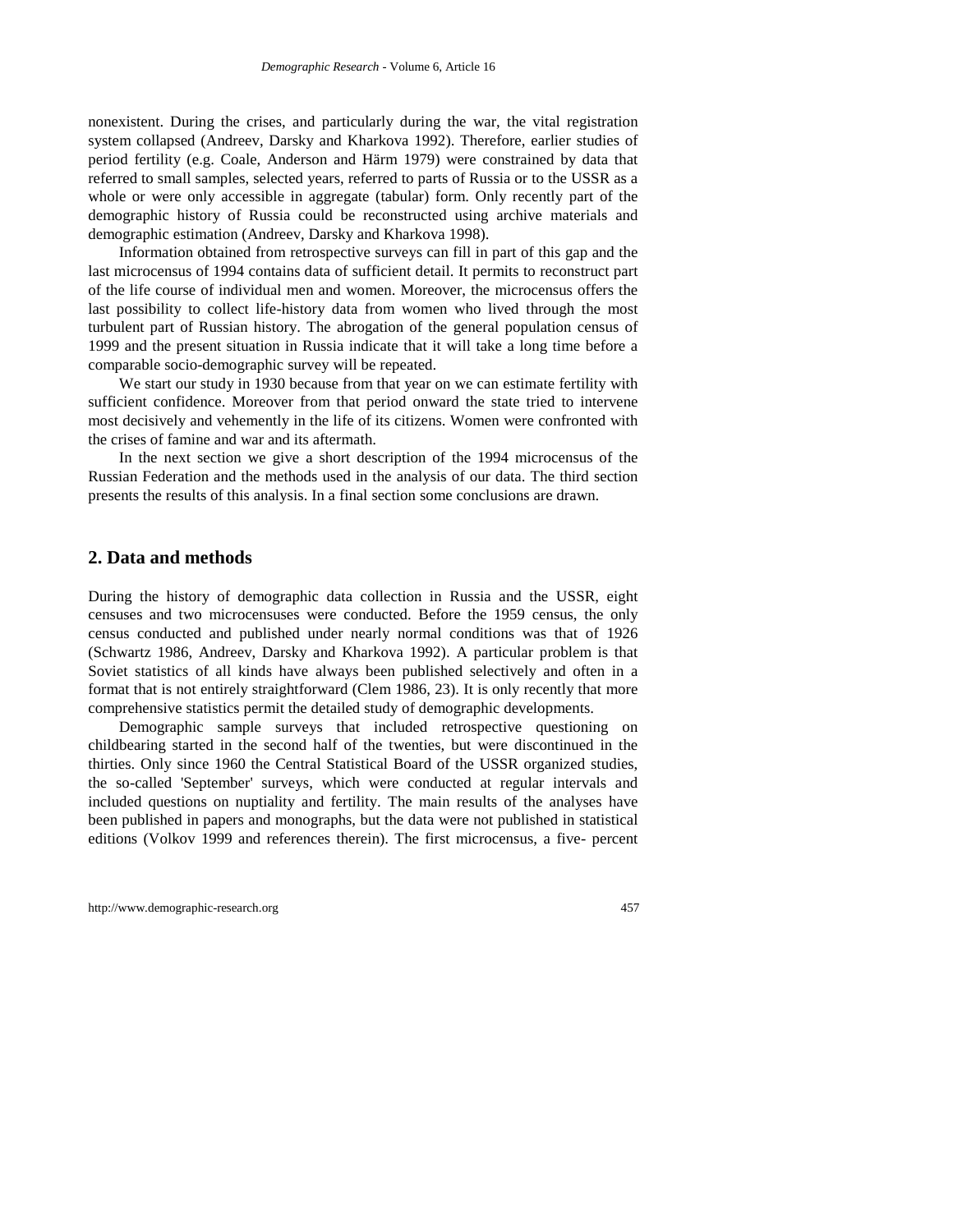nonexistent. During the crises, and particularly during the war, the vital registration system collapsed (Andreev, Darsky and Kharkova 1992). Therefore, earlier studies of period fertility (e.g. Coale, Anderson and Härm 1979) were constrained by data that referred to small samples, selected years, referred to parts of Russia or to the USSR as a whole or were only accessible in aggregate (tabular) form. Only recently part of the demographic history of Russia could be reconstructed using archive materials and demographic estimation (Andreev, Darsky and Kharkova 1998).

Information obtained from retrospective surveys can fill in part of this gap and the last microcensus of 1994 contains data of sufficient detail. It permits to reconstruct part of the life course of individual men and women. Moreover, the microcensus offers the last possibility to collect life-history data from women who lived through the most turbulent part of Russian history. The abrogation of the general population census of 1999 and the present situation in Russia indicate that it will take a long time before a comparable socio-demographic survey will be repeated.

We start our study in 1930 because from that year on we can estimate fertility with sufficient confidence. Moreover from that period onward the state tried to intervene most decisively and vehemently in the life of its citizens. Women were confronted with the crises of famine and war and its aftermath.

In the next section we give a short description of the 1994 microcensus of the Russian Federation and the methods used in the analysis of our data. The third section presents the results of this analysis. In a final section some conclusions are drawn.

#### **2. Data and methods**

During the history of demographic data collection in Russia and the USSR, eight censuses and two microcensuses were conducted. Before the 1959 census, the only census conducted and published under nearly normal conditions was that of 1926 (Schwartz 1986, Andreev, Darsky and Kharkova 1992). A particular problem is that Soviet statistics of all kinds have always been published selectively and often in a format that is not entirely straightforward (Clem 1986, 23). It is only recently that more comprehensive statistics permit the detailed study of demographic developments.

Demographic sample surveys that included retrospective questioning on childbearing started in the second half of the twenties, but were discontinued in the thirties. Only since 1960 the Central Statistical Board of the USSR organized studies, the so-called 'September' surveys, which were conducted at regular intervals and included questions on nuptiality and fertility. The main results of the analyses have been published in papers and monographs, but the data were not published in statistical editions (Volkov 1999 and references therein). The first microcensus, a five- percent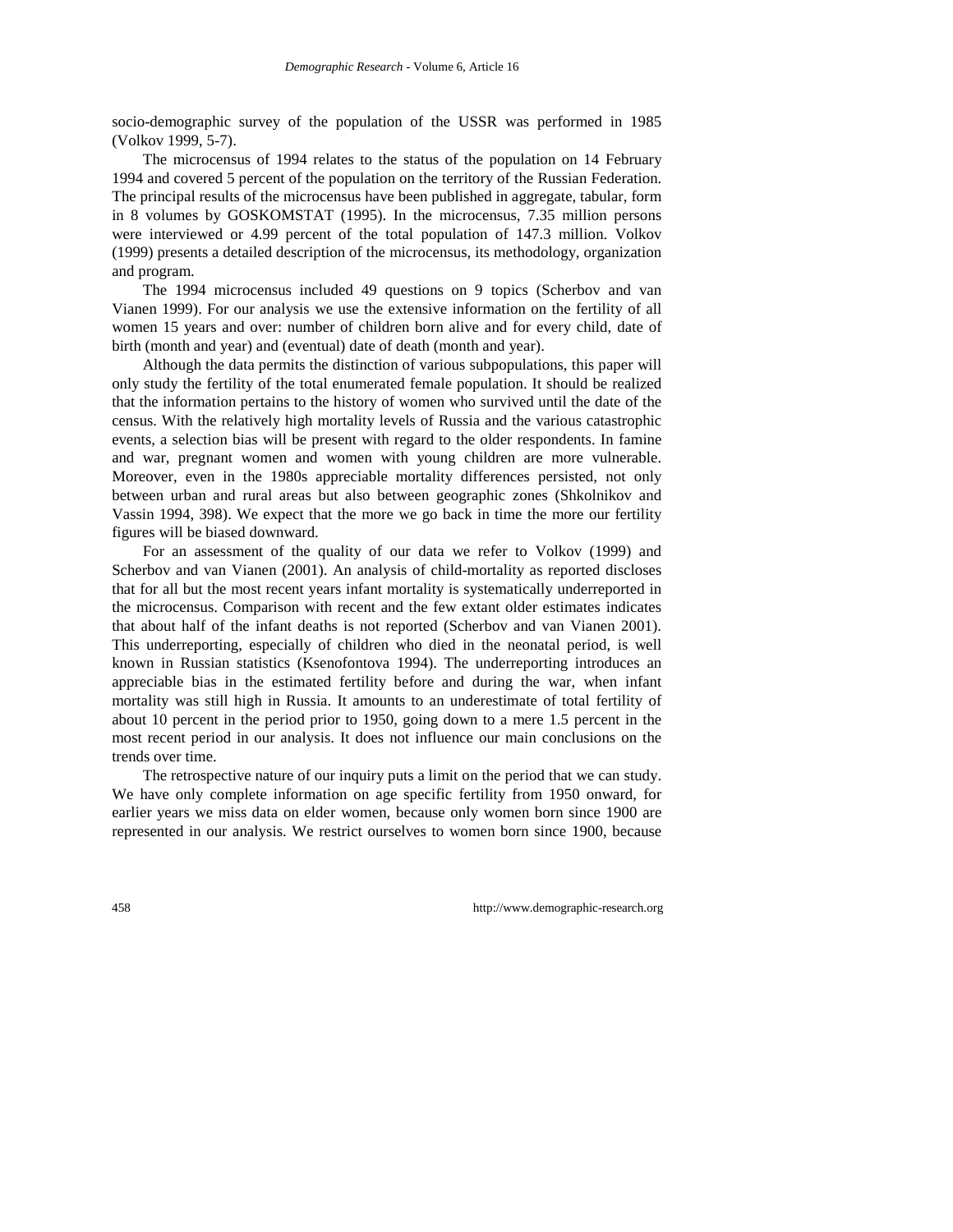socio-demographic survey of the population of the USSR was performed in 1985 (Volkov 1999, 5-7).

The microcensus of 1994 relates to the status of the population on 14 February 1994 and covered 5 percent of the population on the territory of the Russian Federation. The principal results of the microcensus have been published in aggregate, tabular, form in 8 volumes by GOSKOMSTAT (1995). In the microcensus, 7.35 million persons were interviewed or 4.99 percent of the total population of 147.3 million. Volkov (1999) presents a detailed description of the microcensus, its methodology, organization and program.

The 1994 microcensus included 49 questions on 9 topics (Scherbov and van Vianen 1999). For our analysis we use the extensive information on the fertility of all women 15 years and over: number of children born alive and for every child, date of birth (month and year) and (eventual) date of death (month and year).

Although the data permits the distinction of various subpopulations, this paper will only study the fertility of the total enumerated female population. It should be realized that the information pertains to the history of women who survived until the date of the census. With the relatively high mortality levels of Russia and the various catastrophic events, a selection bias will be present with regard to the older respondents. In famine and war, pregnant women and women with young children are more vulnerable. Moreover, even in the 1980s appreciable mortality differences persisted, not only between urban and rural areas but also between geographic zones (Shkolnikov and Vassin 1994, 398). We expect that the more we go back in time the more our fertility figures will be biased downward.

For an assessment of the quality of our data we refer to Volkov (1999) and Scherbov and van Vianen (2001). An analysis of child-mortality as reported discloses that for all but the most recent years infant mortality is systematically underreported in the microcensus. Comparison with recent and the few extant older estimates indicates that about half of the infant deaths is not reported (Scherbov and van Vianen 2001). This underreporting, especially of children who died in the neonatal period, is well known in Russian statistics (Ksenofontova 1994). The underreporting introduces an appreciable bias in the estimated fertility before and during the war, when infant mortality was still high in Russia. It amounts to an underestimate of total fertility of about 10 percent in the period prior to 1950, going down to a mere 1.5 percent in the most recent period in our analysis. It does not influence our main conclusions on the trends over time.

The retrospective nature of our inquiry puts a limit on the period that we can study. We have only complete information on age specific fertility from 1950 onward, for earlier years we miss data on elder women, because only women born since 1900 are represented in our analysis. We restrict ourselves to women born since 1900, because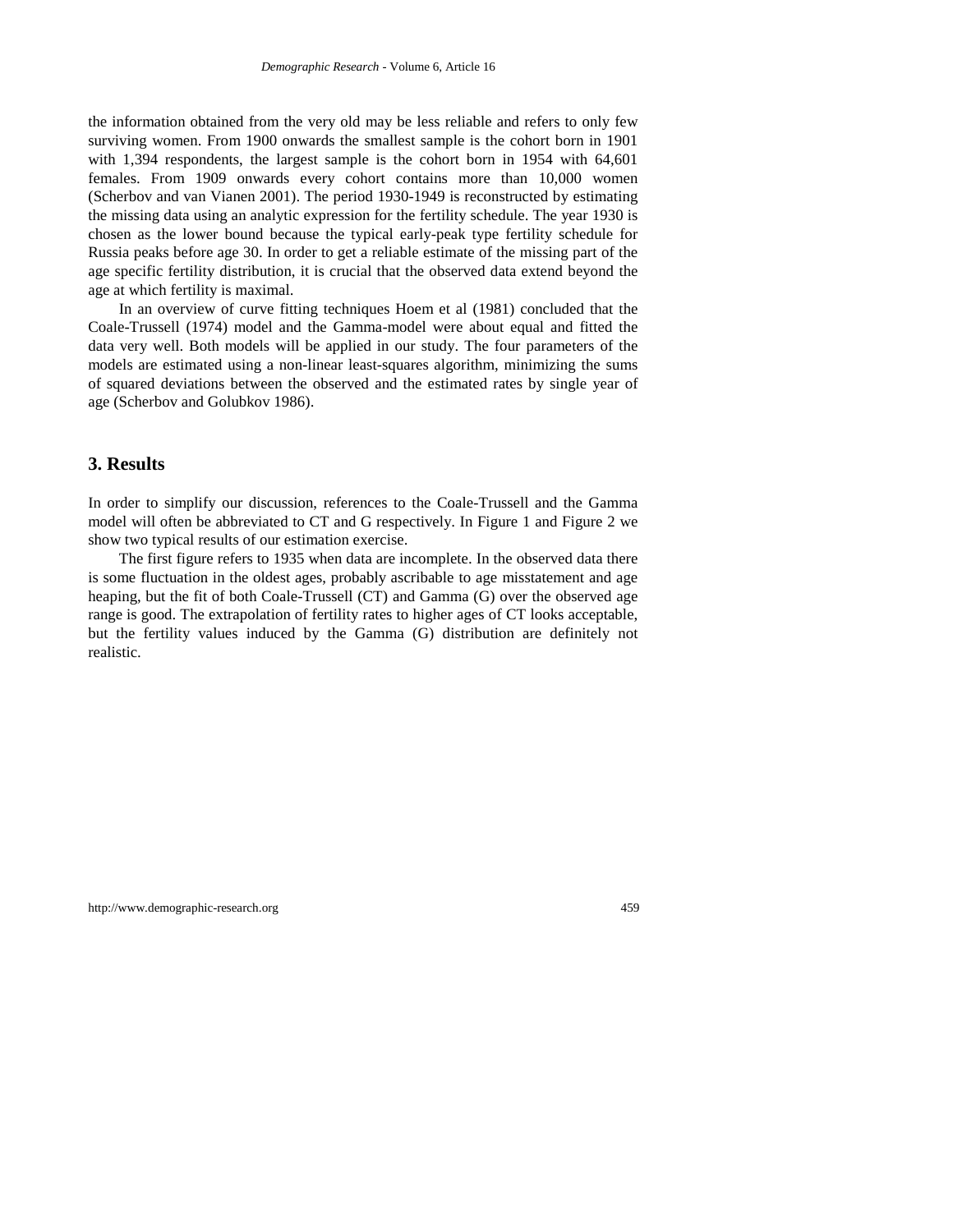the information obtained from the very old may be less reliable and refers to only few surviving women. From 1900 onwards the smallest sample is the cohort born in 1901 with 1,394 respondents, the largest sample is the cohort born in 1954 with 64,601 females. From 1909 onwards every cohort contains more than 10,000 women (Scherbov and van Vianen 2001). The period 1930-1949 is reconstructed by estimating the missing data using an analytic expression for the fertility schedule. The year 1930 is chosen as the lower bound because the typical early-peak type fertility schedule for Russia peaks before age 30. In order to get a reliable estimate of the missing part of the age specific fertility distribution, it is crucial that the observed data extend beyond the age at which fertility is maximal.

In an overview of curve fitting techniques Hoem et al (1981) concluded that the Coale-Trussell (1974) model and the Gamma-model were about equal and fitted the data very well. Both models will be applied in our study. The four parameters of the models are estimated using a non-linear least-squares algorithm, minimizing the sums of squared deviations between the observed and the estimated rates by single year of age (Scherbov and Golubkov 1986).

#### **3. Results**

In order to simplify our discussion, references to the Coale-Trussell and the Gamma model will often be abbreviated to CT and G respectively. In Figure 1 and Figure 2 we show two typical results of our estimation exercise.

The first figure refers to 1935 when data are incomplete. In the observed data there is some fluctuation in the oldest ages, probably ascribable to age misstatement and age heaping, but the fit of both Coale-Trussell (CT) and Gamma (G) over the observed age range is good. The extrapolation of fertility rates to higher ages of CT looks acceptable, but the fertility values induced by the Gamma (G) distribution are definitely not realistic.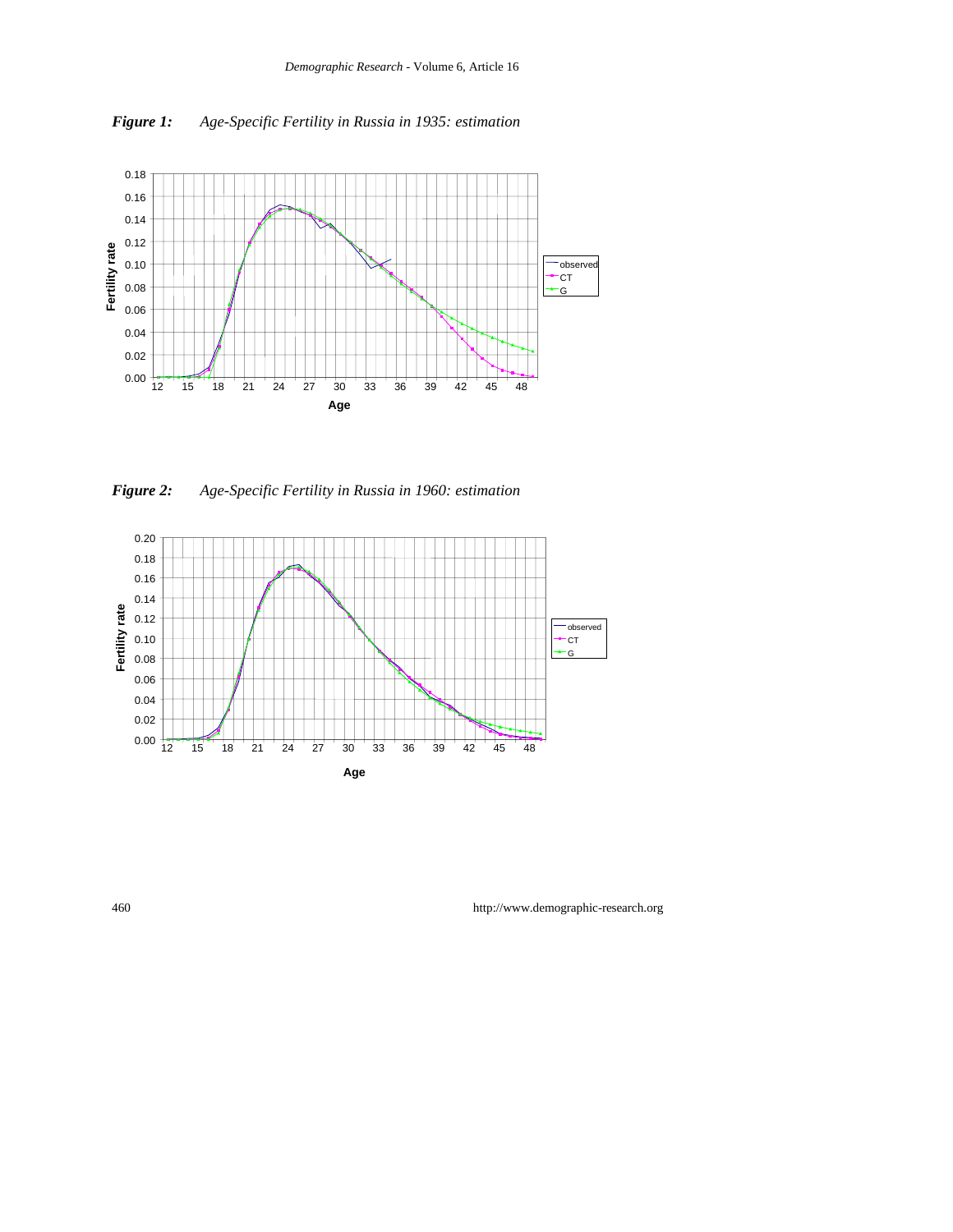

*Figure 1: Age-Specific Fertility in Russia in 1935: estimation*

*Figure 2: Age-Specific Fertility in Russia in 1960: estimation*

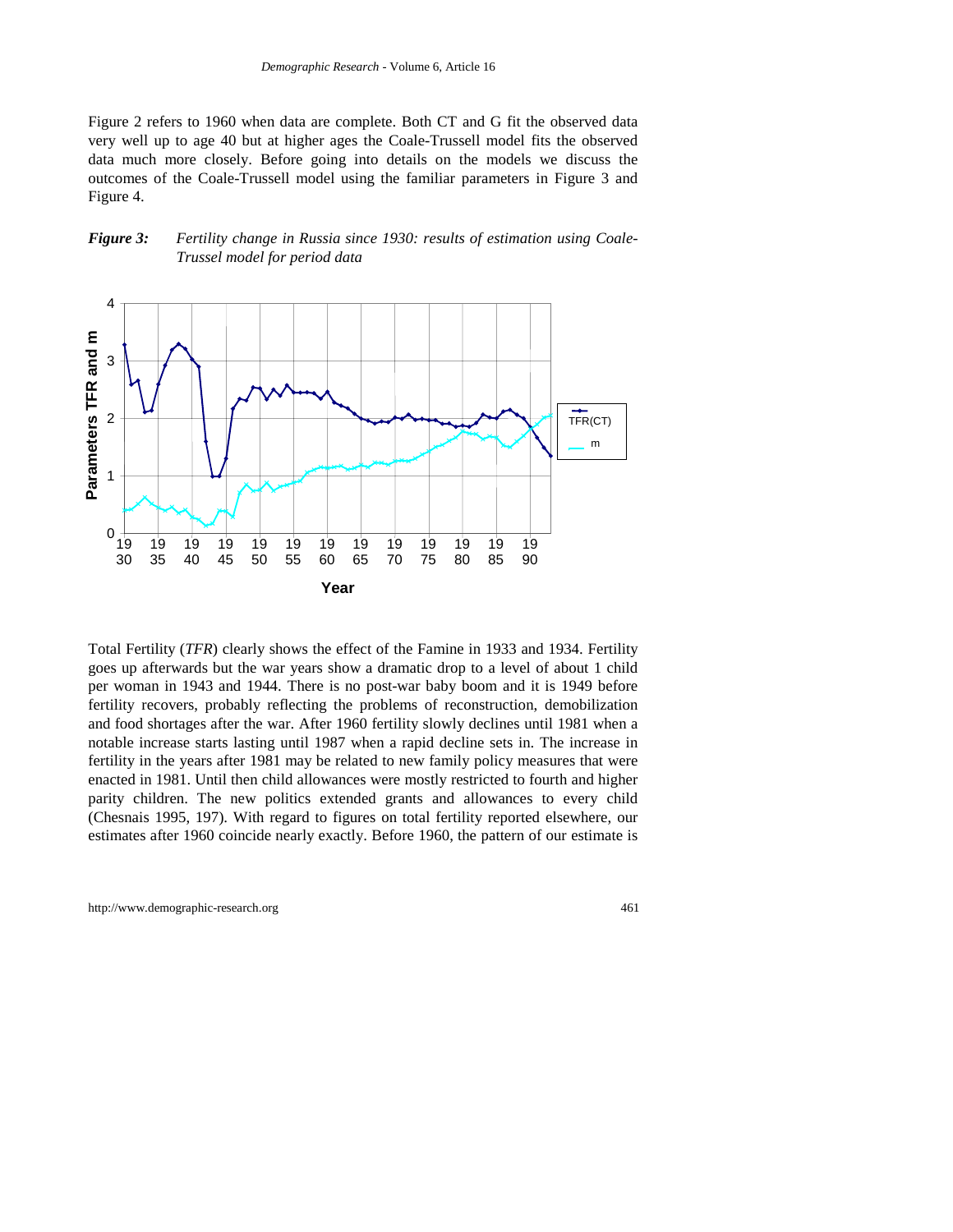Figure 2 refers to 1960 when data are complete. Both CT and G fit the observed data very well up to age 40 but at higher ages the Coale-Trussell model fits the observed data much more closely. Before going into details on the models we discuss the outcomes of the Coale-Trussell model using the familiar parameters in Figure 3 and Figure 4.

#### *Figure 3: Fertility change in Russia since 1930: results of estimation using Coale-Trussel model for period data*



Total Fertility (*TFR*) clearly shows the effect of the Famine in 1933 and 1934. Fertility goes up afterwards but the war years show a dramatic drop to a level of about 1 child per woman in 1943 and 1944. There is no post-war baby boom and it is 1949 before fertility recovers, probably reflecting the problems of reconstruction, demobilization and food shortages after the war. After 1960 fertility slowly declines until 1981 when a notable increase starts lasting until 1987 when a rapid decline sets in. The increase in fertility in the years after 1981 may be related to new family policy measures that were enacted in 1981. Until then child allowances were mostly restricted to fourth and higher parity children. The new politics extended grants and allowances to every child (Chesnais 1995, 197). With regard to figures on total fertility reported elsewhere, our estimates after 1960 coincide nearly exactly. Before 1960, the pattern of our estimate is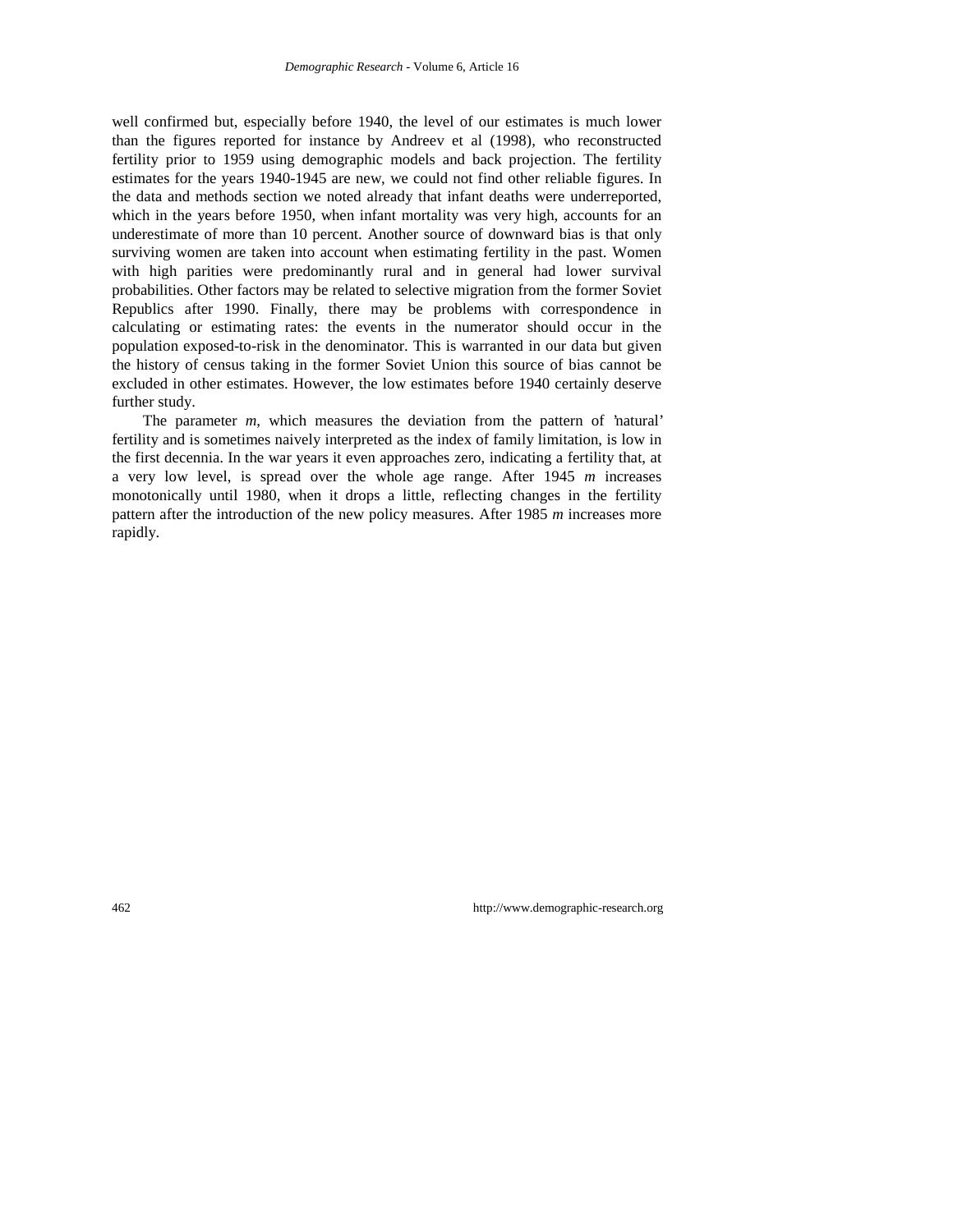well confirmed but, especially before 1940, the level of our estimates is much lower than the figures reported for instance by Andreev et al (1998), who reconstructed fertility prior to 1959 using demographic models and back projection. The fertility estimates for the years 1940-1945 are new, we could not find other reliable figures. In the data and methods section we noted already that infant deaths were underreported, which in the years before 1950, when infant mortality was very high, accounts for an underestimate of more than 10 percent. Another source of downward bias is that only surviving women are taken into account when estimating fertility in the past. Women with high parities were predominantly rural and in general had lower survival probabilities. Other factors may be related to selective migration from the former Soviet Republics after 1990. Finally, there may be problems with correspondence in calculating or estimating rates: the events in the numerator should occur in the population exposed-to-risk in the denominator. This is warranted in our data but given the history of census taking in the former Soviet Union this source of bias cannot be excluded in other estimates. However, the low estimates before 1940 certainly deserve further study.

The parameter *m*, which measures the deviation from the pattern of 'natural' fertility and is sometimes naively interpreted as the index of family limitation, is low in the first decennia. In the war years it even approaches zero, indicating a fertility that, at a very low level, is spread over the whole age range. After 1945 *m* increases monotonically until 1980, when it drops a little, reflecting changes in the fertility pattern after the introduction of the new policy measures. After 1985 *m* increases more rapidly.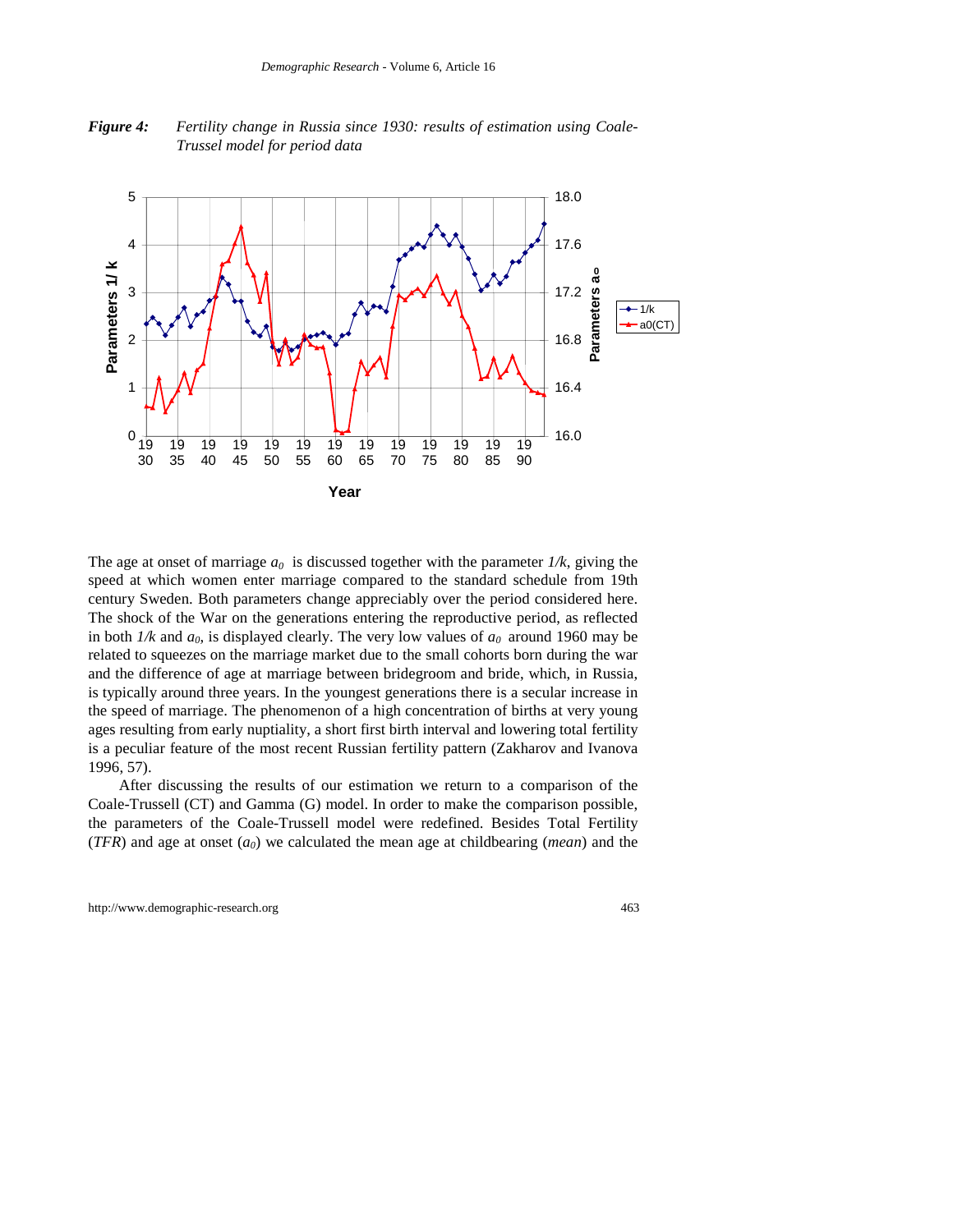*Figure 4: Fertility change in Russia since 1930: results of estimation using Coale-Trussel model for period data*



The age at onset of marriage  $a_0$  is discussed together with the parameter  $1/k$ , giving the speed at which women enter marriage compared to the standard schedule from 19th century Sweden. Both parameters change appreciably over the period considered here. The shock of the War on the generations entering the reproductive period, as reflected in both  $1/k$  and  $a_0$ , is displayed clearly. The very low values of  $a_0$  around 1960 may be related to squeezes on the marriage market due to the small cohorts born during the war and the difference of age at marriage between bridegroom and bride, which, in Russia, is typically around three years. In the youngest generations there is a secular increase in the speed of marriage. The phenomenon of a high concentration of births at very young ages resulting from early nuptiality, a short first birth interval and lowering total fertility is a peculiar feature of the most recent Russian fertility pattern (Zakharov and Ivanova 1996, 57).

After discussing the results of our estimation we return to a comparison of the Coale-Trussell (CT) and Gamma (G) model. In order to make the comparison possible, the parameters of the Coale-Trussell model were redefined. Besides Total Fertility  $(TFR)$  and age at onset  $(a<sub>0</sub>)$  we calculated the mean age at childbearing (*mean*) and the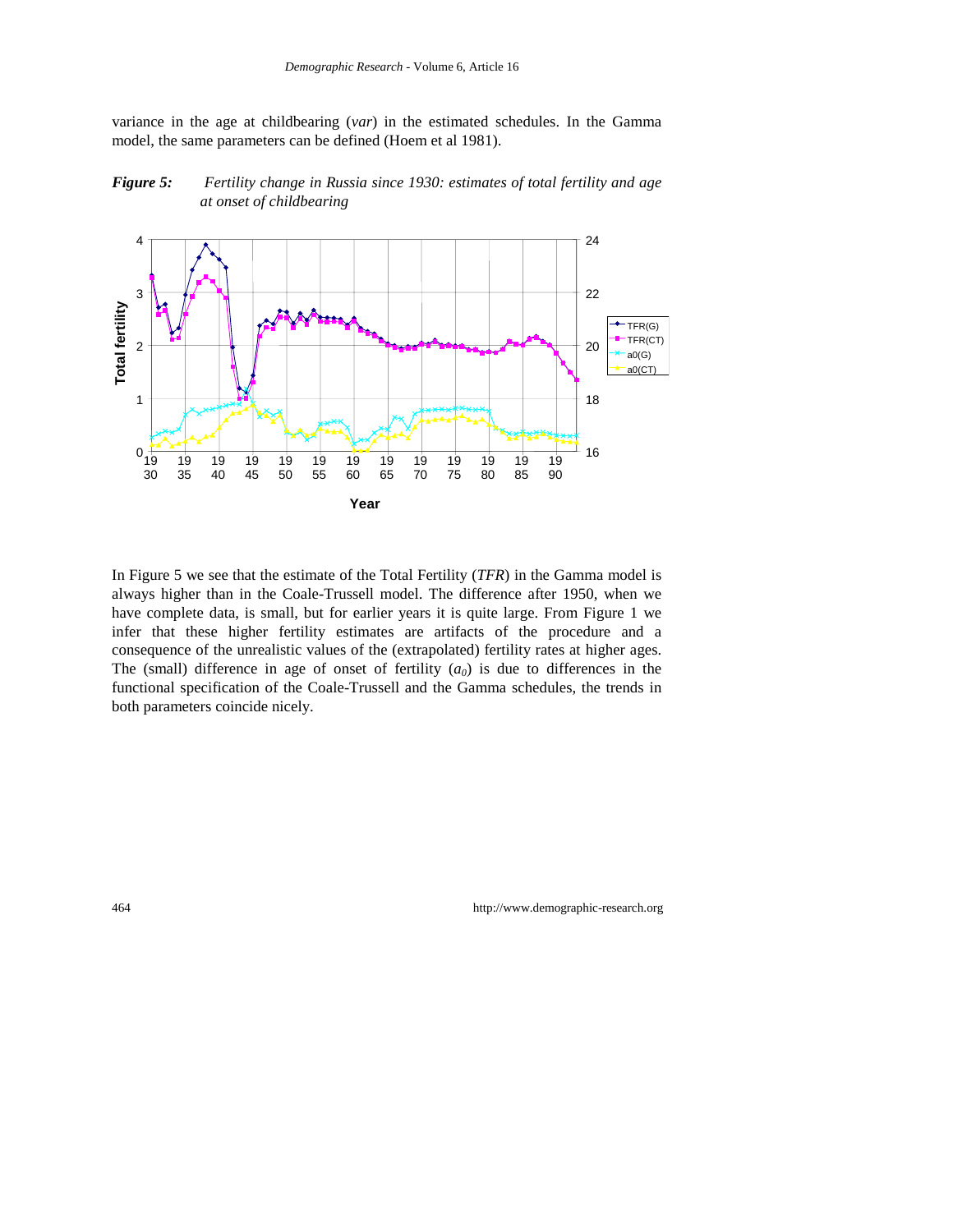variance in the age at childbearing (*var*) in the estimated schedules. In the Gamma model, the same parameters can be defined (Hoem et al 1981).





In Figure 5 we see that the estimate of the Total Fertility (*TFR*) in the Gamma model is always higher than in the Coale-Trussell model. The difference after 1950, when we have complete data, is small, but for earlier years it is quite large. From Figure 1 we infer that these higher fertility estimates are artifacts of the procedure and a consequence of the unrealistic values of the (extrapolated) fertility rates at higher ages. The (small) difference in age of onset of fertility  $(a_0)$  is due to differences in the functional specification of the Coale-Trussell and the Gamma schedules, the trends in both parameters coincide nicely.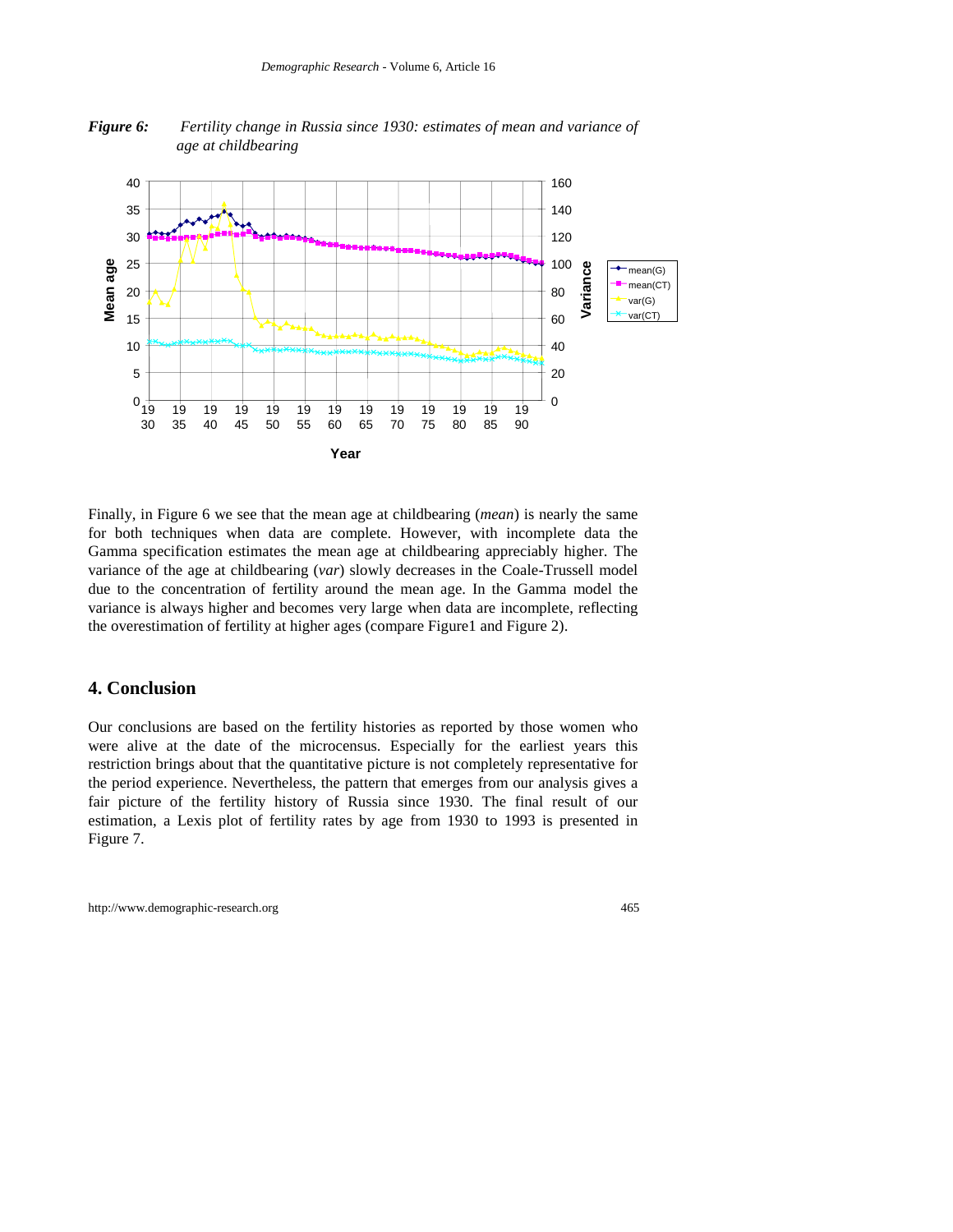

*Figure 6: Fertility change in Russia since 1930: estimates of mean and variance of age at childbearing*

Finally, in Figure 6 we see that the mean age at childbearing (*mean*) is nearly the same for both techniques when data are complete. However, with incomplete data the Gamma specification estimates the mean age at childbearing appreciably higher. The variance of the age at childbearing (*var*) slowly decreases in the Coale-Trussell model due to the concentration of fertility around the mean age. In the Gamma model the variance is always higher and becomes very large when data are incomplete, reflecting the overestimation of fertility at higher ages (compare Figure1 and Figure 2).

## **4. Conclusion**

Our conclusions are based on the fertility histories as reported by those women who were alive at the date of the microcensus. Especially for the earliest years this restriction brings about that the quantitative picture is not completely representative for the period experience. Nevertheless, the pattern that emerges from our analysis gives a fair picture of the fertility history of Russia since 1930. The final result of our estimation, a Lexis plot of fertility rates by age from 1930 to 1993 is presented in Figure 7.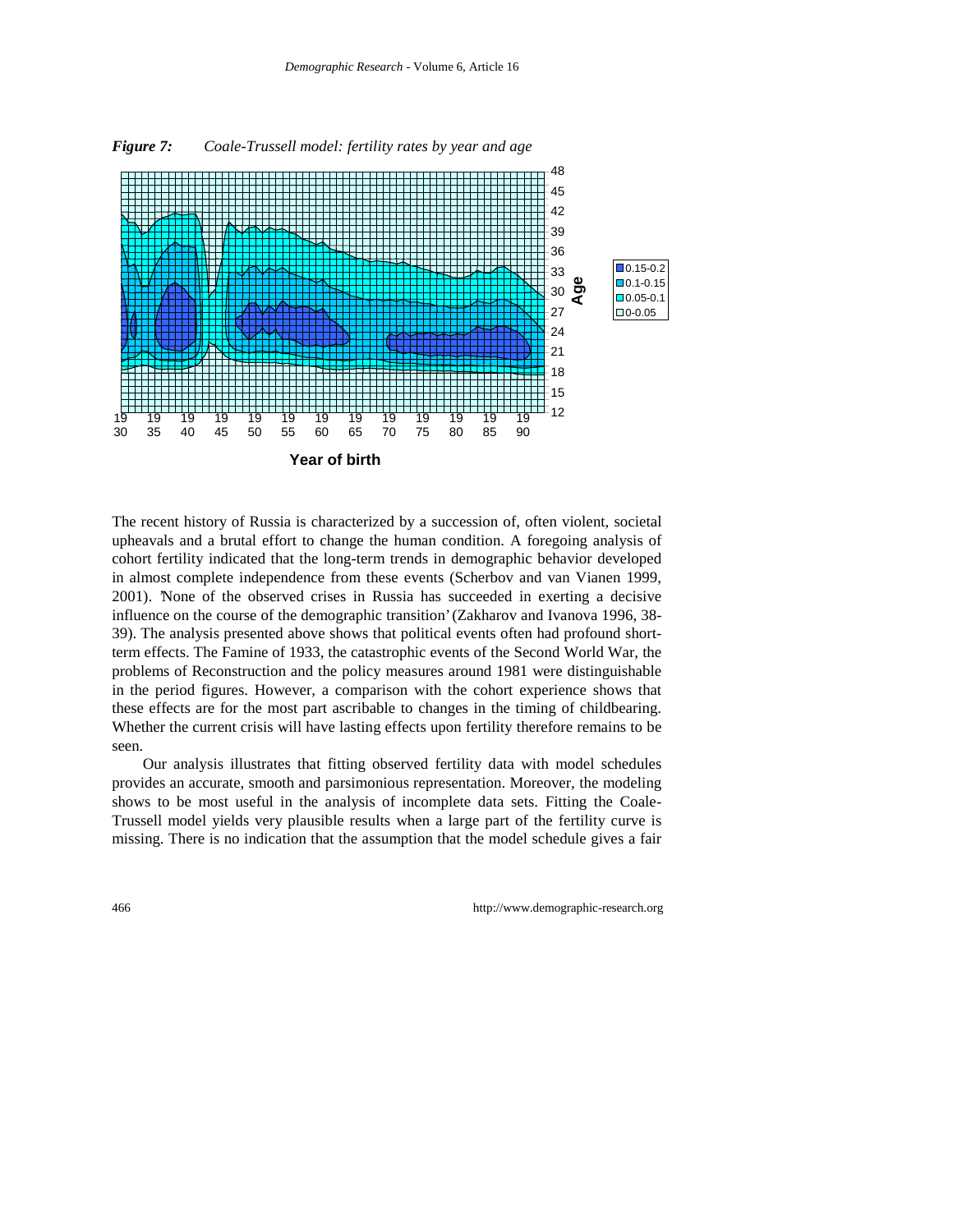

*Figure 7: Coale-Trussell model: fertility rates by year and age*

The recent history of Russia is characterized by a succession of, often violent, societal upheavals and a brutal effort to change the human condition. A foregoing analysis of cohort fertility indicated that the long-term trends in demographic behavior developed in almost complete independence from these events (Scherbov and van Vianen 1999, 2001). 'None of the observed crises in Russia has succeeded in exerting a decisive influence on the course of the demographic transition' (Zakharov and Ivanova 1996, 38- 39). The analysis presented above shows that political events often had profound shortterm effects. The Famine of 1933, the catastrophic events of the Second World War, the problems of Reconstruction and the policy measures around 1981 were distinguishable in the period figures. However, a comparison with the cohort experience shows that these effects are for the most part ascribable to changes in the timing of childbearing. Whether the current crisis will have lasting effects upon fertility therefore remains to be seen.

Our analysis illustrates that fitting observed fertility data with model schedules provides an accurate, smooth and parsimonious representation. Moreover, the modeling shows to be most useful in the analysis of incomplete data sets. Fitting the Coale-Trussell model yields very plausible results when a large part of the fertility curve is missing. There is no indication that the assumption that the model schedule gives a fair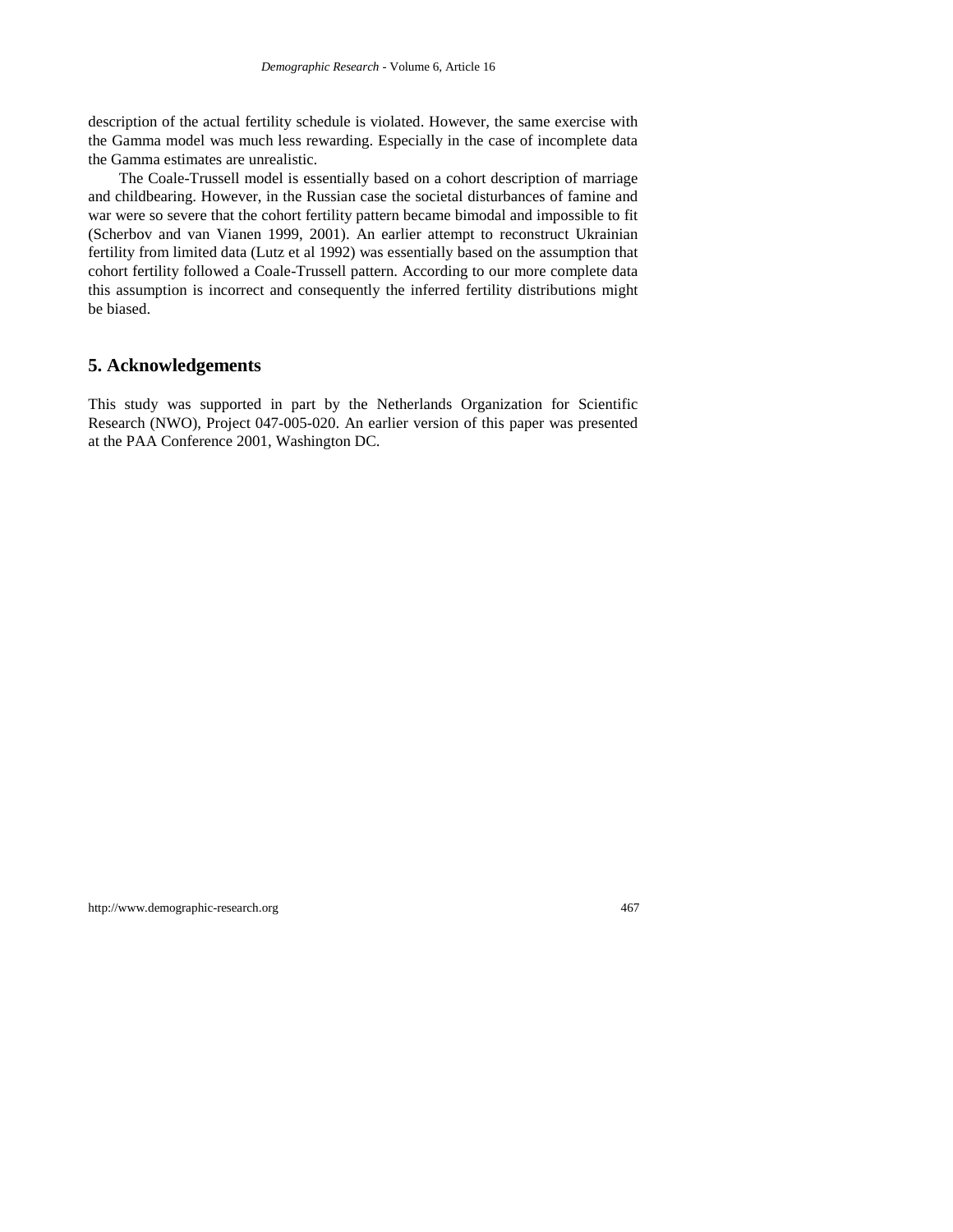description of the actual fertility schedule is violated. However, the same exercise with the Gamma model was much less rewarding. Especially in the case of incomplete data the Gamma estimates are unrealistic.

The Coale-Trussell model is essentially based on a cohort description of marriage and childbearing. However, in the Russian case the societal disturbances of famine and war were so severe that the cohort fertility pattern became bimodal and impossible to fit (Scherbov and van Vianen 1999, 2001). An earlier attempt to reconstruct Ukrainian fertility from limited data (Lutz et al 1992) was essentially based on the assumption that cohort fertility followed a Coale-Trussell pattern. According to our more complete data this assumption is incorrect and consequently the inferred fertility distributions might be biased.

#### **5. Acknowledgements**

This study was supported in part by the Netherlands Organization for Scientific Research (NWO), Project 047-005-020. An earlier version of this paper was presented at the PAA Conference 2001, Washington DC.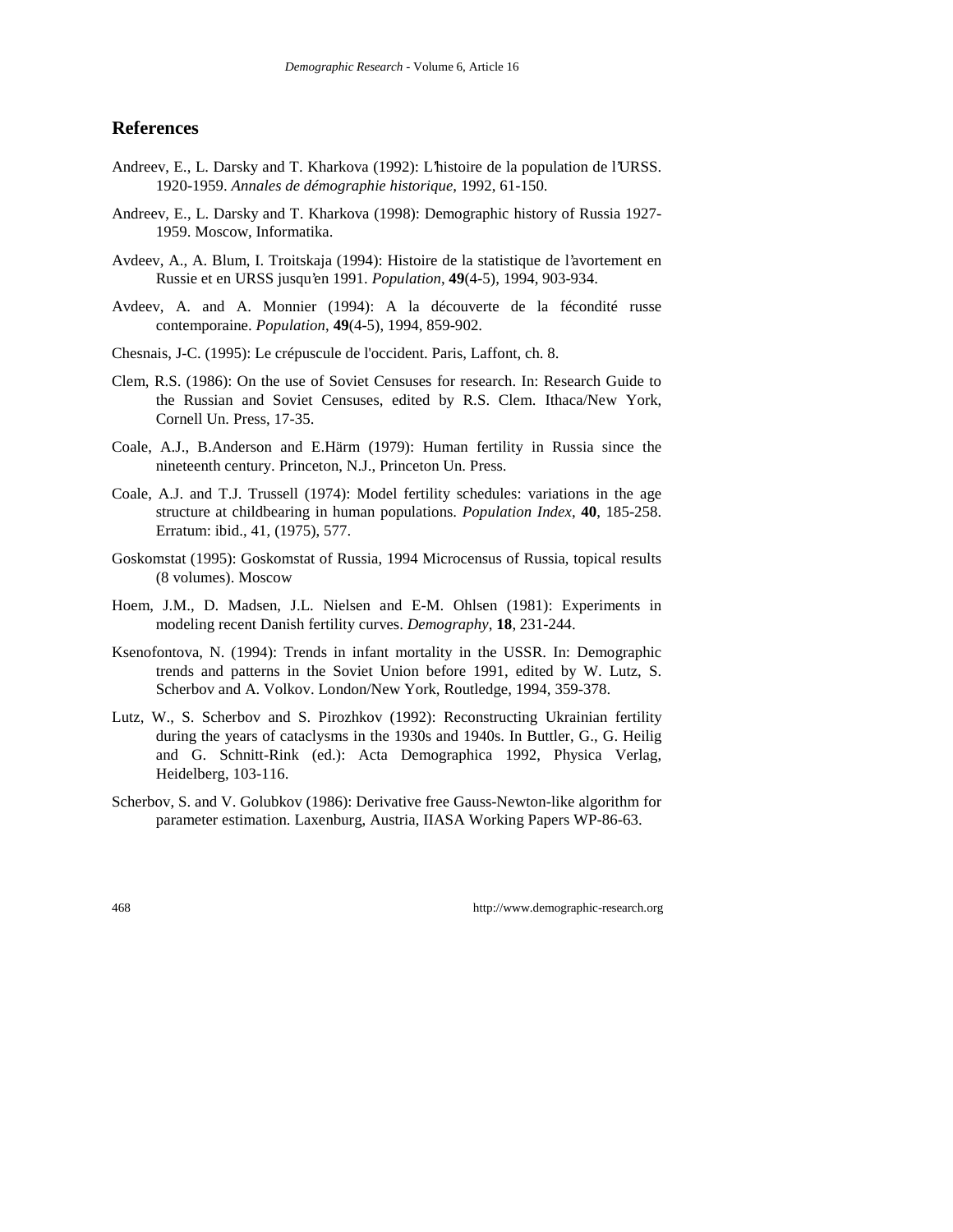#### **References**

- Andreev, E., L. Darsky and T. Kharkova (1992): L'histoire de la population de l'URSS. 1920-1959. *Annales de démographie historique*, 1992, 61-150.
- Andreev, E., L. Darsky and T. Kharkova (1998): Demographic history of Russia 1927- 1959. Moscow, Informatika.
- Avdeev, A., A. Blum, I. Troitskaja (1994): Histoire de la statistique de l'avortement en Russie et en URSS jusqu'en 1991. *Population*, **49**(4-5), 1994, 903-934.
- Avdeev, A. and A. Monnier (1994): A la découverte de la fécondité russe contemporaine. *Population*, **49**(4-5), 1994, 859-902.
- Chesnais, J-C. (1995): Le crépuscule de l'occident. Paris, Laffont, ch. 8.
- Clem, R.S. (1986): On the use of Soviet Censuses for research. In: Research Guide to the Russian and Soviet Censuses, edited by R.S. Clem. Ithaca/New York, Cornell Un. Press, 17-35.
- Coale, A.J., B.Anderson and E.Härm (1979): Human fertility in Russia since the nineteenth century. Princeton, N.J., Princeton Un. Press.
- Coale, A.J. and T.J. Trussell (1974): Model fertility schedules: variations in the age structure at childbearing in human populations. *Population Index*, **40**, 185-258. Erratum: ibid., 41, (1975), 577.
- Goskomstat (1995): Goskomstat of Russia, 1994 Microcensus of Russia, topical results (8 volumes). Moscow
- Hoem, J.M., D. Madsen, J.L. Nielsen and E-M. Ohlsen (1981): Experiments in modeling recent Danish fertility curves. *Demography*, **18**, 231-244.
- Ksenofontova, N. (1994): Trends in infant mortality in the USSR. In: Demographic trends and patterns in the Soviet Union before 1991, edited by W. Lutz, S. Scherbov and A. Volkov. London/New York, Routledge, 1994, 359-378.
- Lutz, W., S. Scherbov and S. Pirozhkov (1992): Reconstructing Ukrainian fertility during the years of cataclysms in the 1930s and 1940s. In Buttler, G., G. Heilig and G. Schnitt-Rink (ed.): Acta Demographica 1992, Physica Verlag, Heidelberg, 103-116.
- Scherbov, S. and V. Golubkov (1986): Derivative free Gauss-Newton-like algorithm for parameter estimation. Laxenburg, Austria, IIASA Working Papers WP-86-63.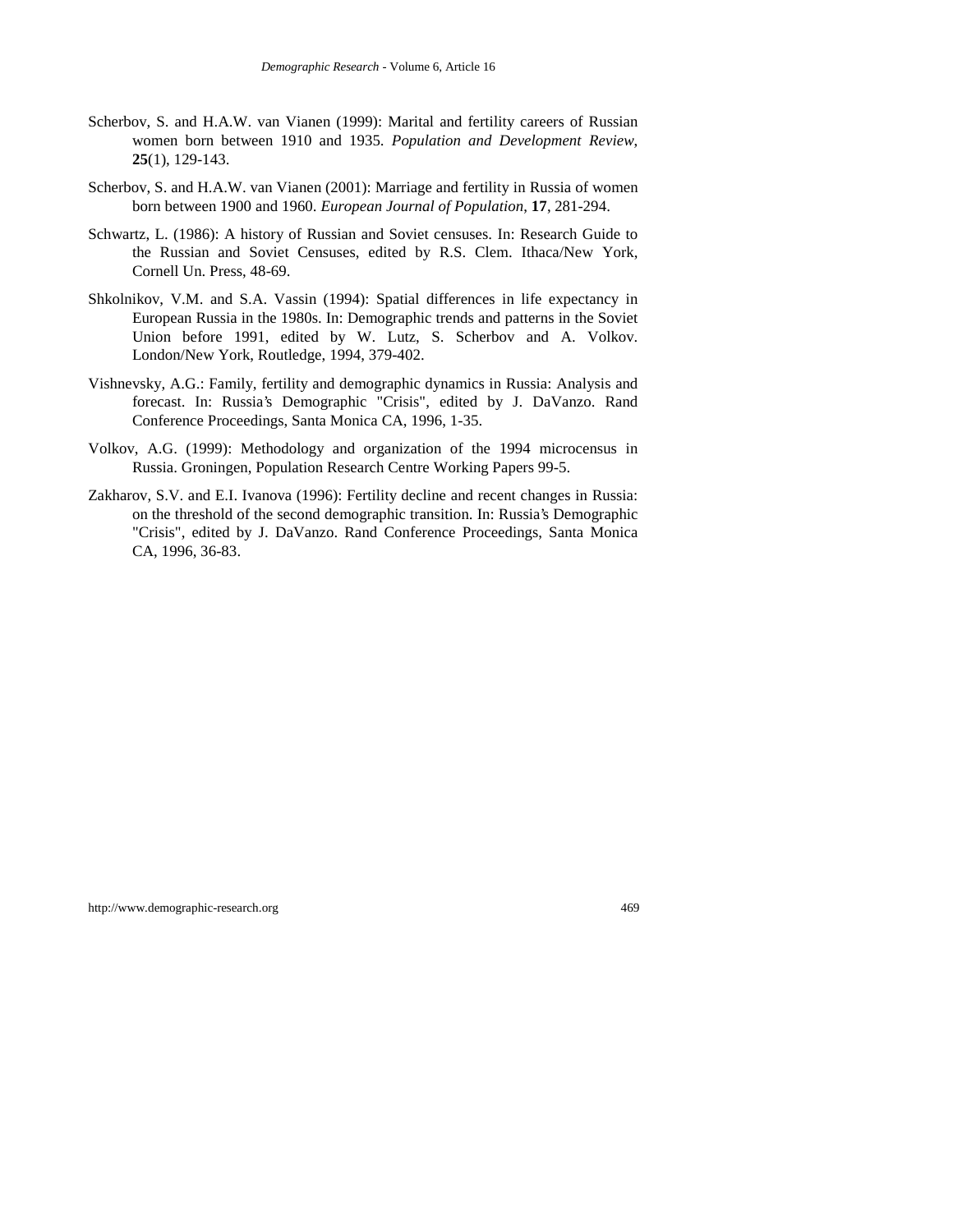- Scherbov, S. and H.A.W. van Vianen (1999): Marital and fertility careers of Russian women born between 1910 and 1935. *Population and Development Review*, **25**(1), 129-143.
- Scherbov, S. and H.A.W. van Vianen (2001): Marriage and fertility in Russia of women born between 1900 and 1960. *European Journal of Population*, **17**, 281-294.
- Schwartz, L. (1986): A history of Russian and Soviet censuses. In: Research Guide to the Russian and Soviet Censuses, edited by R.S. Clem. Ithaca/New York, Cornell Un. Press, 48-69.
- Shkolnikov, V.M. and S.A. Vassin (1994): Spatial differences in life expectancy in European Russia in the 1980s. In: Demographic trends and patterns in the Soviet Union before 1991, edited by W. Lutz, S. Scherbov and A. Volkov. London/New York, Routledge, 1994, 379-402.
- Vishnevsky, A.G.: Family, fertility and demographic dynamics in Russia: Analysis and forecast. In: Russia's Demographic "Crisis", edited by J. DaVanzo. Rand Conference Proceedings, Santa Monica CA, 1996, 1-35.
- Volkov, A.G. (1999): Methodology and organization of the 1994 microcensus in Russia. Groningen, Population Research Centre Working Papers 99-5.
- Zakharov, S.V. and E.I. Ivanova (1996): Fertility decline and recent changes in Russia: on the threshold of the second demographic transition. In: Russia's Demographic "Crisis", edited by J. DaVanzo. Rand Conference Proceedings, Santa Monica CA, 1996, 36-83.